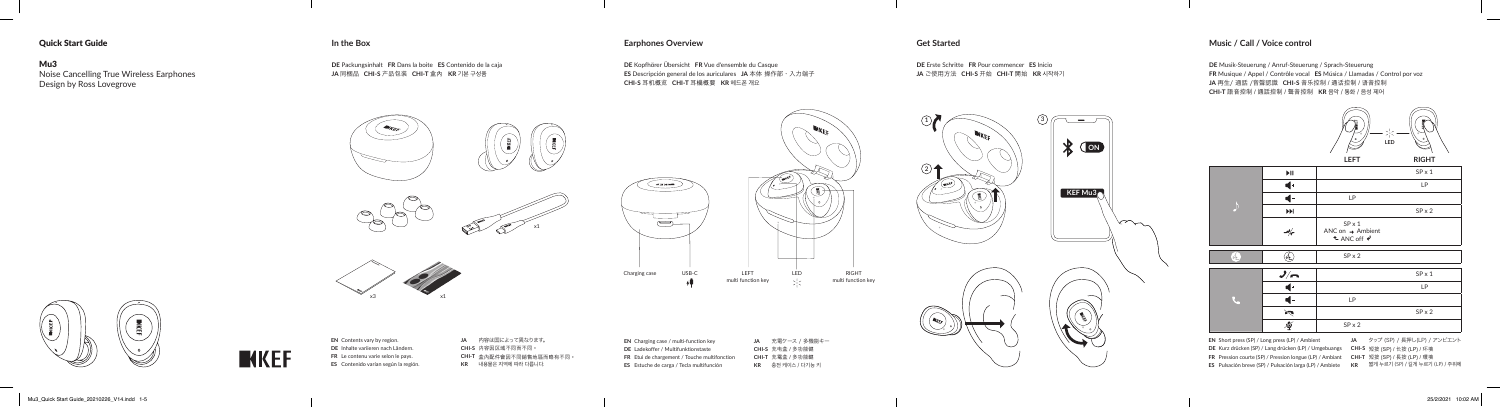# Quick Start Guide

### Mu3

Noise Cancelling True Wireless Earphones Design by Ross Lovegrove

## **In the Box Earphones Overview**

**DE** Packungsinhalt **FR** Dans la boite **ES** Contenido de la caja **JA** 同梱品 **CHI-S** 產品包裝 **CHI-T** 盒內 **KR** 기본 구성품

**DE** Kopfhörer Übersicht **FR** Vue d'ensemble du Casque **ES** Descripción general de los auriculares **JA** 本体 操作部・入力端子 **CHI-S** 耳機概覽 **CHI-T** 耳機概要 **KR** 헤드폰 개요

**EN** Contents vary by region. **DE** Inhalte variieren nach Ländern. **FR** Le contenu varie selon le pays. **ES** Contenido varían según la región. **JA** 内容は国によって異なります。 **CHI-S** 內容因區域不同而不同。 **CHI-T** 盒內配件會因不同銷售地區而略有不同。 **KR** 내용물은 지역에 따라 다릅니다.

**EN** Charging case / multi-function key **DE** Ladekoffer / Multifunktionstaste **FR** Etui de chargement / Touche multifonction **ES** Estuche de carga / Tecla multifunción

**JA** 充電ケース / 多機能キー **CHI-S** 充電盒 / 多功能鍵 **CHI-T** 充電盒 / 多功能鍵 **KR** 충전 케이스 / 다기능 키

|                      | $\blacktriangleright$ II                                    |                                                                                     | $SP \times 1$ |
|----------------------|-------------------------------------------------------------|-------------------------------------------------------------------------------------|---------------|
|                      | d -                                                         |                                                                                     | LP            |
|                      |                                                             | LP                                                                                  |               |
|                      | $\blacktriangleright\blacktriangleright\blacktriangleright$ |                                                                                     | $SP \times 2$ |
|                      | $-\frac{1}{2}$                                              | $SP \times 1$<br>ANC on $\rightarrow$ Ambient<br>$\triangle$ ANC off $\overline{v}$ |               |
| $\frac{1}{\sqrt{2}}$ |                                                             | $SP \times 2$                                                                       |               |
|                      | $\frac{1}{n}$                                               |                                                                                     | $SP \times 1$ |
|                      |                                                             |                                                                                     | LP            |
|                      |                                                             | LP                                                                                  |               |
|                      | $\sum_{i=1}^n$                                              |                                                                                     | $SP \times 2$ |
|                      | 雹                                                           | $SP \times 2$                                                                       |               |

# **Get Started**

**DE** Erste Schritte **FR** Pour commencer **ES** Inicio **JA** ご使用方法 **CHI-S** 開始 **CHI-T** 開始 **KR** 시작하기

## **Music / Call / Voice control**

**DE** Musik-Steuerung / Anruf-Steuerung / Sprach-Steuerung **FR** Musique / Appel / Contrôle vocal **ES** Música / Llamadas / Control por voz **JA** 再生/ 通話 /音聲認識 CHI-S 音乐控制 / 通话控制 / 语音控制 **CHI-T** 語音控制 / 通話控制 / 聲音控制 **KR** 음악 / 통화 / 음성 제어









**EN** Short press (SP) / Long press (LP) / Ambient **DE** Kurz drücken (SP) / Lang drücken (LP) / Umgebuangs **CHI-S** 短按 (SP) / 長按 (LP) / 環境 **FR** Pression courte (SP) / Pression longue (LP) / Ambiant **CHI-T** 短按 (SP) / 長按 (LP) / 環境 **ES** Pulsación breve (SP) / Pulsación larga (LP) / Ambiete **KR** 짧게 누르기 (SP) / 길게 누르기 (LP) / 주위에

**JA** タップ (SP) / 長押し(LP) / アンビエント

 $\overline{\phantom{a}}$ 





 $\sim$ 

 $\circled{3}$ 

x3

RIGHT multi function key

x1